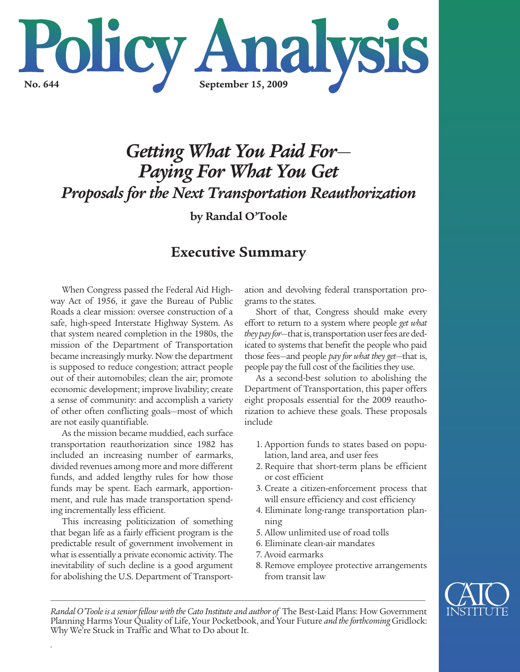

# *Getting What You Paid For*— *Paying For What You Get Proposals for the Next Transportation Reauthorization*

**by Randal O'Toole**

# **Executive Summary**

When Congress passed the Federal Aid Highway Act of 1956, it gave the Bureau of Public Roads a clear mission: oversee construction of a safe, high-speed Interstate Highway System. As that system neared completion in the 1980s, the mission of the Department of Transportation became increasingly murky. Now the department is supposed to reduce congestion; attract people out of their automobiles; clean the air; promote economic development; improve livability; create a sense of community: and accomplish a variety of other often conflicting goals—most of which are not easily quantifiable.

As the mission became muddied, each surface transportation reauthorization since 1982 has included an increasing number of earmarks, divided revenues among more and more different funds, and added lengthy rules for how those funds may be spent. Each earmark, apportionment, and rule has made transportation spending incrementally less efficient.

This increasing politicization of something that began life as a fairly efficient program is the predictable result of government involvement in what is essentially a private economic activity. The inevitability of such decline is a good argument for abolishing the U.S. Department of Transport-

*.*

ation and devolving federal transportation programs to the states.

Short of that, Congress should make every effort to return to a system where people *get what* they pay for-that is, transportation user fees are dedicated to systems that benefit the people who paid those fees—and people *pay for what they get*—that is, people pay the full cost of the facilities they use.

As a second-best solution to abolishing the Department of Transportation, this paper offers eight proposals essential for the 2009 reauthorization to achieve these goals. These proposals include

- 1. Apportion funds to states based on population, land area, and user fees
- 2. Require that short-term plans be efficient or cost efficient
- 3. Create a citizen-enforcement process that will ensure efficiency and cost efficiency
- 4. Eliminate long-range transportation planning
- 5. Allow unlimited use of road tolls
- 6. Eliminate clean-air mandates
- 7. Avoid earmarks
- 8. Remove employee protective arrangements from transit law



*RandalO'Tooleis a seniorfellowwith the Cato Institute and author of* The Best-Laid Plans: How Government Planning Harms Your Quality of Life, Your Pocketbook, and Your Future *and theforthcoming* Gridlock: Why We're Stuck in Traffic and What to Do about It.

*\_\_\_\_\_\_\_\_\_\_\_\_\_\_\_\_\_\_\_\_\_\_\_\_\_\_\_\_\_\_\_\_\_\_\_\_\_\_\_\_\_\_\_\_\_\_\_\_\_\_\_\_\_\_\_\_\_\_\_\_\_\_\_\_\_\_\_\_\_\_\_\_\_\_\_\_\_\_\_\_\_\_\_\_\_\_\_\_\_\_\_\_\_\_\_\_\_\_\_\_\_*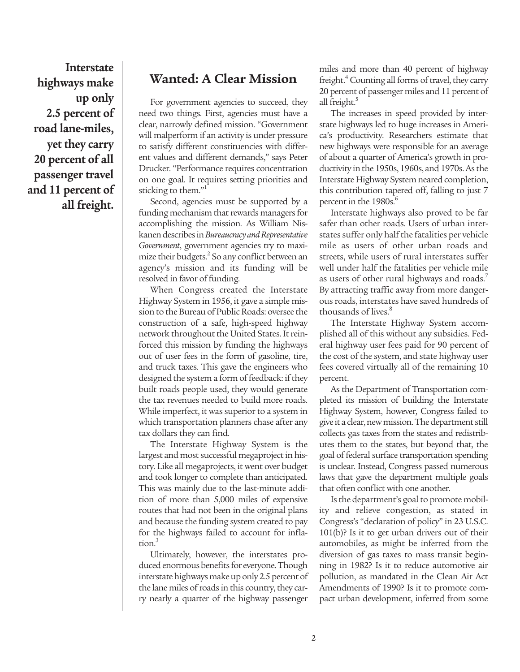**Interstate highways make up only 2.5 percent of road lane-miles, yet they carry 20 percent of all passenger travel and 11 percent of all freight.**

### **Wanted: A Clear Mission**

For government agencies to succeed, they need two things. First, agencies must have a clear, narrowly defined mission. "Government will malperform if an activity is under pressure to satisfy different constituencies with different values and different demands," says Peter Drucker. "Performance requires concentration on one goal. It requires setting priorities and sticking to them."<sup>1</sup>

Second, agencies must be supported by a funding mechanism that rewards managers for accomplishing the mission. As William Niskanen describes in Bureaucracy and Representative *Government*, government agencies try to maximize their budgets. <sup>2</sup> So any conflict between an agency's mission and its funding will be resolved in favor of funding.

When Congress created the Interstate Highway System in 1956, it gave a simple mission to the Bureau of Public Roads: oversee the construction of a safe, high-speed highway network throughout the United States. It reinforced this mission by funding the highways out of user fees in the form of gasoline, tire, and truck taxes. This gave the engineers who designed the system a form of feedback: if they built roads people used, they would generate the tax revenues needed to build more roads. While imperfect, it was superior to a system in which transportation planners chase after any tax dollars they can find.

The Interstate Highway System is the largest and most successful megaproject in history. Like all megaprojects, it went over budget and took longer to complete than anticipated. This was mainly due to the last-minute addition of more than 5,000 miles of expensive routes that had not been in the original plans and because the funding system created to pay for the highways failed to account for inflation. 3

Ultimately, however, the interstates produced enormous benefits for everyone. Though interstate highways make up only 2.5 percent of the lane miles of roads in this country, they carry nearly a quarter of the highway passenger

miles and more than 40 percent of highway freight.<sup>4</sup> Counting all forms of travel, they carry 20 percent of passenger miles and 11 percent of all freight.<sup>5</sup>

The increases in speed provided by interstate highways led to huge increases in America's productivity. Researchers estimate that new highways were responsible for an average of about a quarter of America's growth in productivity in the 1950s, 1960s, and 1970s. As the Interstate Highway System neared completion, this contribution tapered off, falling to just 7 percent in the 1980s.<sup>6</sup>

Interstate highways also proved to be far safer than other roads. Users of urban interstates suffer only half the fatalities per vehicle mile as users of other urban roads and streets, while users of rural interstates suffer well under half the fatalities per vehicle mile as users of other rural highways and roads.<sup>7</sup> By attracting traffic away from more dangerous roads, interstates have saved hundreds of thousands of lives. 8

The Interstate Highway System accomplished all of this without any subsidies. Federal highway user fees paid for 90 percent of the cost of the system, and state highway user fees covered virtually all of the remaining 10 percent.

As the Department of Transportation completed its mission of building the Interstate Highway System, however, Congress failed to give it a clear, new mission. The department still collects gas taxes from the states and redistributes them to the states, but beyond that, the goal of federal surface transportation spending is unclear. Instead, Congress passed numerous laws that gave the department multiple goals that often conflict with one another.

Is the department's goal to promote mobility and relieve congestion, as stated in Congress's "declaration of policy" in 23 U.S.C. 101(b)? Is it to get urban drivers out of their automobiles, as might be inferred from the diversion of gas taxes to mass transit beginning in 1982? Is it to reduce automotive air pollution, as mandated in the Clean Air Act Amendments of 1990? Is it to promote compact urban development, inferred from some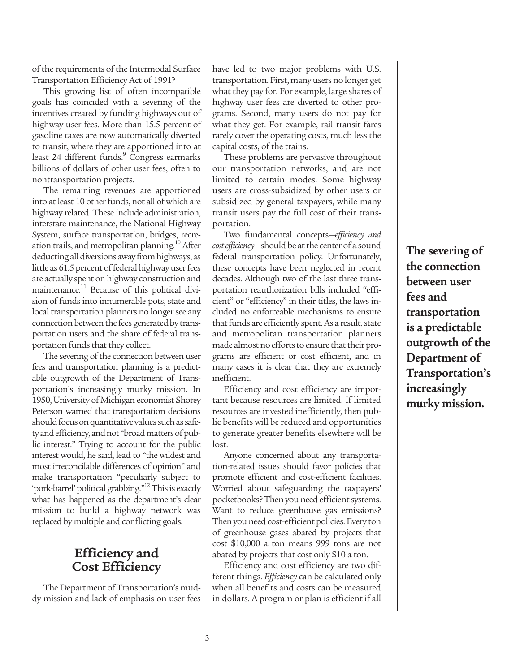of the requirements of the Intermodal Surface Transportation Efficiency Act of 1991?

This growing list of often incompatible goals has coincided with a severing of the incentives created by funding highways out of highway user fees. More than 15.5 percent of gasoline taxes are now automatically diverted to transit, where they are apportioned into at least 24 different funds. <sup>9</sup> Congress earmarks billions of dollars of other user fees, often to nontransportation projects.

The remaining revenues are apportioned into at least 10 other funds, not all of which are highway related. These include administration, interstate maintenance, the National Highway System, surface transportation, bridges, recreation trails, and metropolitan planning. <sup>10</sup> After deducting all diversions away from highways, as little as 61.5 percent of federal highway user fees are actually spent on highway construction and maintenance. <sup>11</sup> Because of this political division of funds into innumerable pots, state and local transportation planners no longer see any connection between the fees generated by transportation users and the share of federal transportation funds that they collect.

The severing of the connection between user fees and transportation planning is a predictable outgrowth of the Department of Transportation's increasingly murky mission. In 1950, University of Michigan economist Shorey Peterson warned that transportation decisions should focus on quantitative values such as safety and efficiency, and not "broad matters of public interest." Trying to account for the public interest would, he said, lead to "the wildest and most irreconcilable differences of opinion" and make transportation "peculiarly subject to 'pork-barrel' political grabbing."<sup>12</sup> This is exactly what has happened as the department's clear mission to build a highway network was replaced by multiple and conflicting goals.

# **Efficiency and Cost Efficiency**

The Department of Transportation's muddy mission and lack of emphasis on user fees have led to two major problems with U.S. transportation. First, many users no longer get what they pay for. For example, large shares of highway user fees are diverted to other programs. Second, many users do not pay for what they get. For example, rail transit fares rarely cover the operating costs, much less the capital costs, of the trains.

These problems are pervasive throughout our transportation networks, and are not limited to certain modes. Some highway users are cross-subsidized by other users or subsidized by general taxpayers, while many transit users pay the full cost of their transportation.

Two fundamental concepts—*efficiency and cost efficiency*—should be at the center of a sound federal transportation policy. Unfortunately, these concepts have been neglected in recent decades. Although two of the last three transportation reauthorization bills included "efficient" or "efficiency" in their titles, the laws included no enforceable mechanisms to ensure that funds are efficiently spent. As a result, state and metropolitan transportation planners made almost no efforts to ensure that their programs are efficient or cost efficient, and in many cases it is clear that they are extremely inefficient.

Efficiency and cost efficiency are important because resources are limited. If limited resources are invested inefficiently, then public benefits will be reduced and opportunities to generate greater benefits elsewhere will be lost.

Anyone concerned about any transportation-related issues should favor policies that promote efficient and cost-efficient facilities. Worried about safeguarding the taxpayers' pocketbooks? Then you need efficient systems. Want to reduce greenhouse gas emissions? Then you need cost-efficient policies. Every ton of greenhouse gases abated by projects that cost \$10,000 a ton means 999 tons are not abated by projects that cost only \$10 a ton.

Efficiency and cost efficiency are two different things. *Efficiency* can be calculated only when all benefits and costs can be measured in dollars. A program or plan is efficient if all

**The severing of the connection between user fees and transportation is a predictable outgrowth of the Department of Transportation's increasingly murky mission.**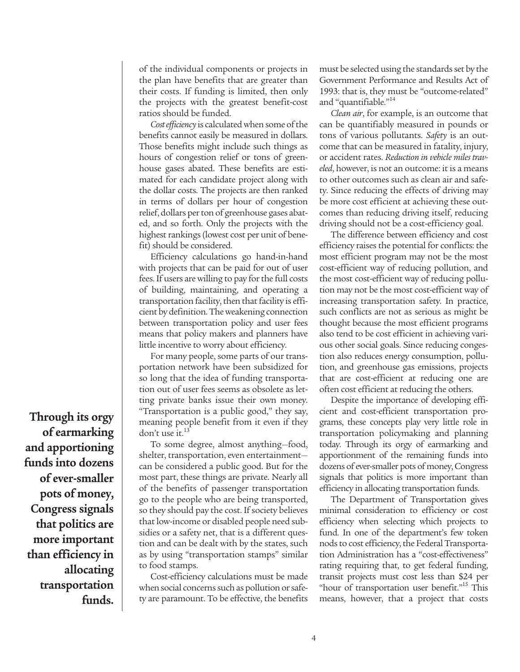of the individual components or projects in the plan have benefits that are greater than their costs. If funding is limited, then only the projects with the greatest benefit-cost ratios should be funded.

*Cost efficiency* is calculated when some of the benefits cannot easily be measured in dollars. Those benefits might include such things as hours of congestion relief or tons of greenhouse gases abated. These benefits are estimated for each candidate project along with the dollar costs. The projects are then ranked in terms of dollars per hour of congestion relief, dollars per ton of greenhouse gases abated, and so forth. Only the projects with the highest rankings (lowest cost per unit of benefit) should be considered.

Efficiency calculations go hand-in-hand with projects that can be paid for out of user fees. If users are willing to pay for the full costs of building, maintaining, and operating a transportation facility, then that facility is efficient by definition.Theweakening connection between transportation policy and user fees means that policy makers and planners have little incentive to worry about efficiency.

For many people, some parts of our transportation network have been subsidized for so long that the idea of funding transportation out of user fees seems as obsolete as letting private banks issue their own money. "Transportation is a public good," they say, meaning people benefit from it even if they don't use it. 13

To some degree, almost anything—food, shelter, transportation, even entertainment can be considered a public good. But for the most part, these things are private. Nearly all of the benefits of passenger transportation go to the people who are being transported, so they should pay the cost. If society believes that low-income or disabled people need subsidies or a safety net, that is a different question and can be dealt with by the states, such as by using "transportation stamps" similar to food stamps.

Cost-efficiency calculations must be made when social concerns such as pollution or safety are paramount. To be effective, the benefits must be selected using the standards set by the Government Performance and Results Act of 1993: that is, they must be "outcome-related" and "quantifiable."<sup>14</sup>

*Clean air*, for example, is an outcome that can be quantifiably measured in pounds or tons of various pollutants. *Safety* is an outcome that can be measured in fatality, injury, or accident rates. *Reduction in vehicle miles traveled*, however, is not an outcome: it is a means to other outcomes such as clean air and safety. Since reducing the effects of driving may be more cost efficient at achieving these outcomes than reducing driving itself, reducing driving should not be a cost-efficiency goal.

The difference between efficiency and cost efficiency raises the potential for conflicts: the most efficient program may not be the most cost-efficient way of reducing pollution, and the most cost-efficient way of reducing pollution may not be the most cost-efficient way of increasing transportation safety. In practice, such conflicts are not as serious as might be thought because the most efficient programs also tend to be cost efficient in achieving various other social goals. Since reducing congestion also reduces energy consumption, pollution, and greenhouse gas emissions, projects that are cost-efficient at reducing one are often cost efficient at reducing the others.

Despite the importance of developing efficient and cost-efficient transportation programs, these concepts play very little role in transportation policymaking and planning today. Through its orgy of earmarking and apportionment of the remaining funds into dozens of ever-smaller pots of money, Congress signals that politics is more important than efficiency in allocating transportation funds.

The Department of Transportation gives minimal consideration to efficiency or cost efficiency when selecting which projects to fund. In one of the department's few token nods to cost efficiency, the Federal Transportation Administration has a "cost-effectiveness" rating requiring that, to get federal funding, transit projects must cost less than \$24 per "hour of transportation user benefit."<sup>15</sup> This means, however, that a project that costs

**Through its orgy of earmarking and apportioning funds into dozens of ever-smaller pots of money, Congress signals that politics are more important than efficiency in allocating transportation funds.**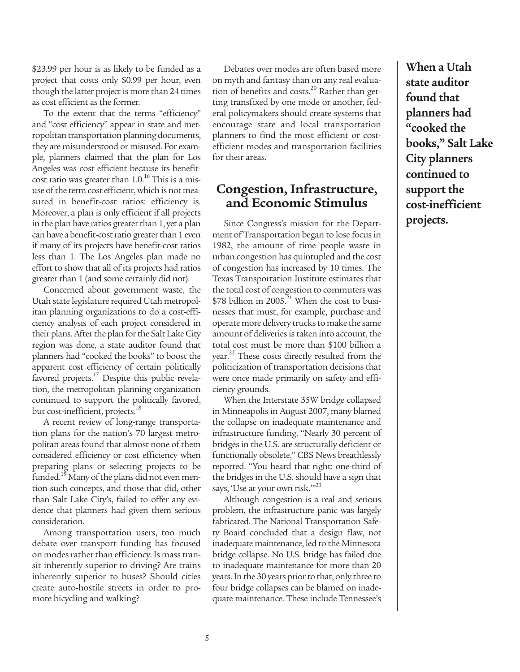\$23.99 per hour is as likely to be funded as a project that costs only \$0.99 per hour, even though the latter project is more than 24 times as cost efficient as the former.

To the extent that the terms "efficiency" and "cost efficiency" appear in state and metropolitan transportation planning documents, they are misunderstood or misused. For example, planners claimed that the plan for Los Angeles was cost efficient because its benefitcost ratio was greater than 1.0.<sup>16</sup> This is a misuse of the term cost efficient, which is not measured in benefit-cost ratios: efficiency is. Moreover, a plan is only efficient if all projects in the plan have ratios greater than 1, yet a plan can have a benefit-cost ratio greater than 1 even if many of its projects have benefit-cost ratios less than 1. The Los Angeles plan made no effort to show that all of its projects had ratios greater than 1 (and some certainly did not).

Concerned about government waste, the Utah state legislature required Utah metropolitan planning organizations to do a cost-efficiency analysis of each project considered in their plans. After the plan for the Salt Lake City region was done, a state auditor found that planners had "cooked the books" to boost the apparent cost efficiency of certain politically favored projects.<sup>17</sup> Despite this public revelation, the metropolitan planning organization continued to support the politically favored, but cost-inefficient, projects.<sup>18</sup>

A recent review of long-range transportation plans for the nation's 70 largest metropolitan areas found that almost none of them considered efficiency or cost efficiency when preparing plans or selecting projects to be funded.<sup>19</sup> Many of the plans did not even mention such concepts, and those that did, other than Salt Lake City's, failed to offer any evidence that planners had given them serious consideration.

Among transportation users, too much debate over transport funding has focused on modes rather than efficiency. Is mass transit inherently superior to driving? Are trains inherently superior to buses? Should cities create auto-hostile streets in order to promote bicycling and walking?

Debates over modes are often based more on myth and fantasy than on any real evaluation of benefits and costs. <sup>20</sup> Rather than getting transfixed by one mode or another, federal policymakers should create systems that encourage state and local transportation planners to find the most efficient or costefficient modes and transportation facilities for their areas.

# **Congestion, Infrastructure, and Economic Stimulus**

Since Congress's mission for the Department of Transportation began to lose focus in 1982, the amount of time people waste in urban congestion has quintupled and the cost of congestion has increased by 10 times. The Texas Transportation Institute estimates that the total cost of congestion to commuters was \$78 billion in  $2005$ .<sup>21</sup> When the cost to businesses that must, for example, purchase and operate more delivery trucks to make the same amount of deliveries is taken into account, the total cost must be more than \$100 billion a year.<sup>22</sup> These costs directly resulted from the politicization of transportation decisions that were once made primarily on safety and efficiency grounds.

When the Interstate 35W bridge collapsed in Minneapolis in August 2007, many blamed the collapse on inadequate maintenance and infrastructure funding. "Nearly 30 percent of bridges in the U.S. are structurally deficient or functionally obsolete," CBS News breathlessly reported. "You heard that right: one-third of the bridges in the U.S. should have a sign that says, 'Use at your own risk.''<sup>23</sup>

Although congestion is a real and serious problem, the infrastructure panic was largely fabricated. The National Transportation Safety Board concluded that a design flaw, not inadequate maintenance, led to the Minnesota bridge collapse. No U.S. bridge has failed due to inadequate maintenance for more than 20 years. In the 30 years prior to that, only three to four bridge collapses can be blamed on inadequate maintenance. These include Tennessee's

5

**When a Utah state auditor found that planners had "cooked the books, " Salt Lake City planners continued to support the cost-inefficient projects.**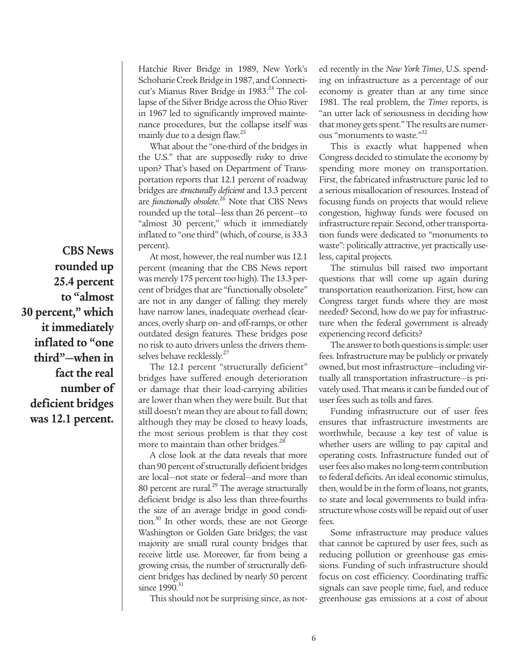Hatchie River Bridge in 1989, New York's Schoharie Creek Bridge in 1987, and Connecticut's Mianus River Bridge in 1983. <sup>24</sup> The collapse of the Silver Bridge across the Ohio River in 1967 led to significantly improved maintenance procedures, but the collapse itself was mainly due to a design flaw. 25

What about the "one-third of the bridges in the U.S." that are supposedly risky to drive upon? That's based on Department of Transportation reports that 12.1 percent of roadway bridges are *structurally deficient* and 13.3 percent are *functionally obsolete*. <sup>26</sup> Note that CBS News rounded up the total—less than 26 percent—to "almost 30 percent," which it immediately inflated to "one third" (which, of course, is 33.3 percent).

At most, however, the real number was 12.1 percent (meaning that the CBS News report was merely 175 percent too high). The 13.3 percent of bridges that are "functionally obsolete" are not in any danger of falling: they merely have narrow lanes, inadequate overhead clearances, overly sharp on- and off-ramps, or other outdated design features. These bridges pose no risk to auto drivers unless the drivers themselves behave recklessly.<sup>27</sup>

The 12.1 percent "structurally deficient" bridges have suffered enough deterioration or damage that their load-carrying abilities are lower than when they were built. But that still doesn't mean they are about to fall down; although they may be closed to heavy loads, the most serious problem is that they cost more to maintain than other bridges.<sup>28</sup>

A close look at the data reveals that more than 90 percent of structurally deficient bridges are local—not state or federal—and more than  $80$  percent are rural. $^{29}$  The average structurally deficient bridge is also less than three-fourths the size of an average bridge in good condition. <sup>30</sup> In other words, these are not George Washington or Golden Gate bridges; the vast majority are small rural county bridges that receive little use. Moreover, far from being a growing crisis, the number of structurally deficient bridges has declined by nearly 50 percent since 1990.<sup>31</sup>

This should not be surprising since, as not-

ed recently in the *New York Times*, U.S. spending on infrastructure as a percentage of our economy is greater than at any time since 1981. The real problem, the *Times* reports, is "an utter lack of seriousness in deciding how that money gets spent." The results are numerous "monuments to waste."32

This is exactly what happened when Congress decided to stimulate the economy by spending more money on transportation. First, the fabricated infrastructure panic led to a serious misallocation of resources. Instead of focusing funds on projects that would relieve congestion, highway funds were focused on infrastructure repair. Second, other transportation funds were dedicated to "monuments to waste": politically attractive, yet practically useless, capital projects.

The stimulus bill raised two important questions that will come up again during transportation reauthorization. First, how can Congress target funds where they are most needed? Second, how do we pay for infrastructure when the federal government is already experiencing record deficits?

The answer to both questions is simple: user fees.Infrastructure may be publicly or privately owned, but most infrastructure—including virtually all transportation infrastructure—is privately used. That means it can be funded out of user fees such as tolls and fares.

Funding infrastructure out of user fees ensures that infrastructure investments are worthwhile, because a key test of value is whether users are willing to pay capital and operating costs. Infrastructure funded out of user fees also makes no long-term contribution to federal deficits. An ideal economic stimulus, then, would be in the form of loans, not grants, to state and local governments to build infrastructure whose costs will be repaid out of user fees.

Some infrastructure may produce values that cannot be captured by user fees, such as reducing pollution or greenhouse gas emissions. Funding of such infrastructure should focus on cost efficiency. Coordinating traffic signals can save people time, fuel, and reduce greenhouse gas emissions at a cost of about

**CBS News rounded up 25.4 percent to "almost 30 percent, " which it immediately inflated to "one third"—when in fact the real number of deficient bridges was 12.1 percent.**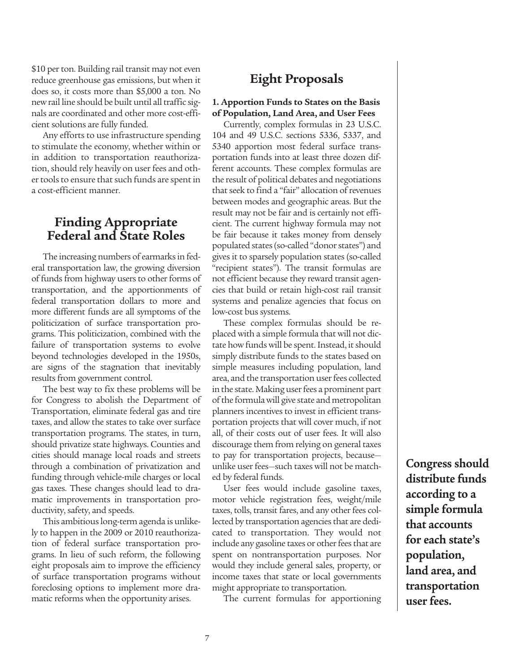\$10 per ton. Building rail transit may not even reduce greenhouse gas emissions, but when it does so, it costs more than \$5,000 a ton. No new rail line should be built until all traffic signals are coordinated and other more cost-efficient solutions are fully funded.

Any efforts to use infrastructure spending to stimulate the economy, whether within or in addition to transportation reauthorization, should rely heavily on user fees and other tools to ensure that such funds are spent in a cost-efficient manner.

# **Finding Appropriate Federal and State Roles**

The increasing numbers of earmarks in federal transportation law, the growing diversion of funds from highway users to other forms of transportation, and the apportionments of federal transportation dollars to more and more different funds are all symptoms of the politicization of surface transportation programs. This politicization, combined with the failure of transportation systems to evolve beyond technologies developed in the 1950s, are signs of the stagnation that inevitably results from government control.

The best way to fix these problems will be for Congress to abolish the Department of Transportation, eliminate federal gas and tire taxes, and allow the states to take over surface transportation programs. The states, in turn, should privatize state highways. Counties and cities should manage local roads and streets through a combination of privatization and funding through vehicle-mile charges or local gas taxes. These changes should lead to dramatic improvements in transportation productivity, safety, and speeds.

This ambitious long-term agenda is unlikely to happen in the 2009 or 2010 reauthorization of federal surface transportation programs. In lieu of such reform, the following eight proposals aim to improve the efficiency of surface transportation programs without foreclosing options to implement more dramatic reforms when the opportunity arises.

# **Eight Proposals**

#### **1. Apportion Funds to States on the Basis of Population, Land Area, and User Fees**

Currently, complex formulas in 23 U.S.C. 104 and 49 U.S.C. sections 5336, 5337, and 5340 apportion most federal surface transportation funds into at least three dozen different accounts. These complex formulas are the result of political debates and negotiations that seek to find a "fair" allocation of revenues between modes and geographic areas. But the result may not be fair and is certainly not efficient. The current highway formula may not be fair because it takes money from densely populated states (so-called "donor states") and gives it to sparsely population states (so-called "recipient states"). The transit formulas are not efficient because they reward transit agencies that build or retain high-cost rail transit systems and penalize agencies that focus on low-cost bus systems.

These complex formulas should be replaced with a simple formula that will not dictate how funds will be spent. Instead, it should simply distribute funds to the states based on simple measures including population, land area, and the transportation user fees collected in the state. Making user fees a prominent part of the formula will give state and metropolitan planners incentives to invest in efficient transportation projects that will cover much, if not all, of their costs out of user fees. It will also discourage them from relying on general taxes to pay for transportation projects, because unlike user fees-such taxes will not be matched by federal funds.

User fees would include gasoline taxes, motor vehicle registration fees, weight/mile taxes, tolls, transit fares, and any other fees collected by transportation agencies that are dedicated to transportation. They would not include any gasoline taxes or other fees that are spent on nontransportation purposes. Nor would they include general sales, property, or income taxes that state or local governments might appropriate to transportation.

The current formulas for apportioning

**Congress should distribute funds according to a simple formula that accounts for each state's population, land area, and transportation user fees.**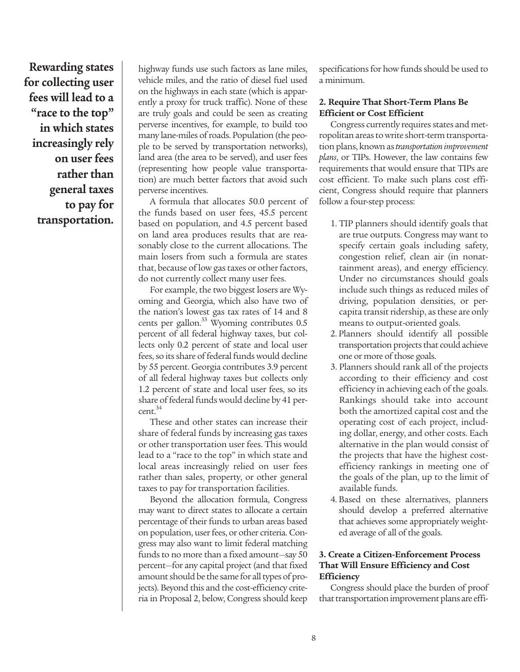**Rewarding states for collecting user fees will lead to a "race to the top" in which states increasingly rely on user fees rather than general taxes to pay for transportation.**

highway funds use such factors as lane miles, vehicle miles, and the ratio of diesel fuel used on the highways in each state (which is apparently a proxy for truck traffic). None of these are truly goals and could be seen as creating perverse incentives, for example, to build too many lane-miles of roads. Population (the people to be served by transportation networks), land area (the area to be served), and user fees (representing how people value transportation) are much better factors that avoid such perverse incentives.

A formula that allocates 50.0 percent of the funds based on user fees, 45.5 percent based on population, and 4.5 percent based on land area produces results that are reasonably close to the current allocations. The main losers from such a formula are states that, because of low gas taxes or other factors, do not currently collect many user fees.

For example, the two biggest losers are Wyoming and Georgia, which also have two of the nation's lowest gas tax rates of 14 and 8 cents per gallon.<sup>33</sup> Wyoming contributes 0.5 percent of all federal highway taxes, but collects only 0.2 percent of state and local user fees, so its share of federal funds would decline by 55 percent. Georgia contributes 3.9 percent of all federal highway taxes but collects only 1.2 percent of state and local user fees, so its share of federal funds would decline by 41 percent. 34

These and other states can increase their share of federal funds by increasing gas taxes or other transportation user fees. This would lead to a "race to the top" in which state and local areas increasingly relied on user fees rather than sales, property, or other general taxes to pay for transportation facilities.

Beyond the allocation formula, Congress may want to direct states to allocate a certain percentage of their funds to urban areas based on population, user fees, or other criteria. Congress may also want to limit federal matching funds to no more than a fixed amount-say 50 percent—for any capital project (and that fixed amount should be the same for all types of projects). Beyond this and the cost-efficiency criteria in Proposal 2, below, Congress should keep specifications for how funds should be used to a minimum.

#### **2. Require That Short-Term Plans Be Efficient or Cost Efficient**

Congress currently requires states and metropolitan areas to write short-term transportation plans, known as*transportationimprovement plans*, or TIPs. However, the law contains few requirements that would ensure that TIPs are cost efficient. To make such plans cost efficient, Congress should require that planners follow a four-step process:

- 1. TIP planners should identify goals that are true outputs. Congress may want to specify certain goals including safety, congestion relief, clean air (in nonattainment areas), and energy efficiency. Under no circumstances should goals include such things as reduced miles of driving, population densities, or percapita transit ridership, as these are only means to output-oriented goals.
- 2. Planners should identify all possible transportation projects that could achieve one or more of those goals.
- 3. Planners should rank all of the projects according to their efficiency and cost efficiency in achieving each of the goals. Rankings should take into account both the amortized capital cost and the operating cost of each project, including dollar, energy, and other costs. Each alternative in the plan would consist of the projects that have the highest costefficiency rankings in meeting one of the goals of the plan, up to the limit of available funds.
- 4. Based on these alternatives, planners should develop a preferred alternative that achieves some appropriately weighted average of all of the goals.

#### **3. Create a Citizen-Enforcement Process That Will Ensure Efficiency and Cost Efficiency**

Congress should place the burden of proof that transportation improvement plans are effi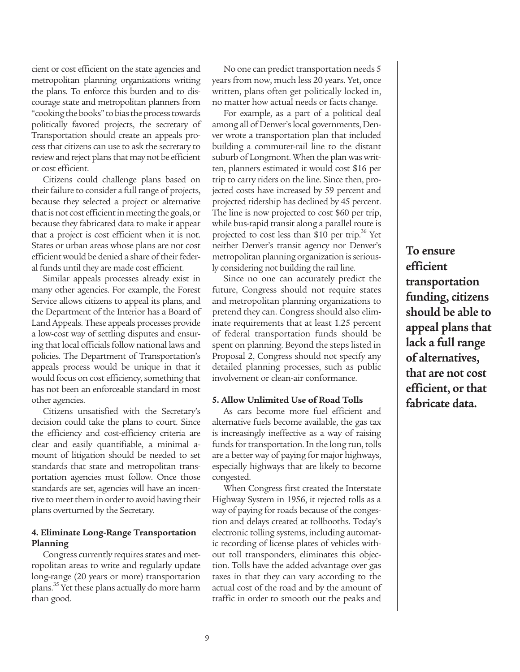cient or cost efficient on the state agencies and metropolitan planning organizations writing the plans. To enforce this burden and to discourage state and metropolitan planners from "cooking the books" to bias the process towards politically favored projects, the secretary of Transportation should create an appeals processthat citizens can use to ask the secretary to review and reject plans that may not be efficient or cost efficient.

Citizens could challenge plans based on their failure to consider a full range of projects, because they selected a project or alternative that is not cost efficient in meeting the goals, or because they fabricated data to make it appear that a project is cost efficient when it is not. States or urban areas whose plans are not cost efficient would be denied a share of their federal funds until they are made cost efficient.

Similar appeals processes already exist in many other agencies. For example, the Forest Service allows citizens to appeal its plans, and the Department of the Interior has a Board of Land Appeals. These appeals processes provide a low-cost way of settling disputes and ensuring that local officials follow national laws and policies. The Department of Transportation's appeals process would be unique in that it would focus on cost efficiency, something that has not been an enforceable standard in most other agencies.

Citizens unsatisfied with the Secretary's decision could take the plans to court. Since the efficiency and cost-efficiency criteria are clear and easily quantifiable, a minimal amount of litigation should be needed to set standards that state and metropolitan transportation agencies must follow. Once those standards are set, agencies will have an incentive to meet them in order to avoid having their plans overturned by the Secretary.

#### **4. Eliminate Long-Range Transportation Planning**

Congress currently requires states and metropolitan areas to write and regularly update long-range (20 years or more) transportation plans.<sup>35</sup> Yet these plans actually do more harm than good.

No one can predict transportation needs 5 years from now, much less 20 years. Yet, once written, plans often get politically locked in, no matter how actual needs or facts change.

For example, as a part of a political deal among all of Denver's local governments, Denver wrote a transportation plan that included building a commuter-rail line to the distant suburb of Longmont. When the plan was written, planners estimated it would cost \$16 per trip to carry riders on the line. Since then, projected costs have increased by 59 percent and projected ridership has declined by 45 percent. The line is now projected to cost \$60 per trip, while bus-rapid transit along a parallel route is projected to cost less than \$10 per trip.<sup>36</sup> Yet neither Denver's transit agency nor Denver's metropolitan planning organization is seriously considering not building the rail line.

Since no one can accurately predict the future, Congress should not require states and metropolitan planning organizations to pretend they can. Congress should also eliminate requirements that at least 1.25 percent of federal transportation funds should be spent on planning. Beyond the steps listed in Proposal 2, Congress should not specify any detailed planning processes, such as public involvement or clean-air conformance.

#### **5. Allow Unlimited Use of Road Tolls**

As cars become more fuel efficient and alternative fuels become available, the gas tax is increasingly ineffective as a way of raising funds for transportation. In the long run, tolls are a better way of paying for major highways, especially highways that are likely to become congested.

When Congress first created the Interstate Highway System in 1956, it rejected tolls as a way of paying for roads because of the congestion and delays created at tollbooths. Today's electronic tolling systems, including automatic recording of license plates of vehicles without toll transponders, eliminates this objection. Tolls have the added advantage over gas taxes in that they can vary according to the actual cost of the road and by the amount of traffic in order to smooth out the peaks and **To ensure efficient transportation funding, citizens should be able to appeal plans that lack a full range of alternatives, that are not cost efficient, or that fabricate data.**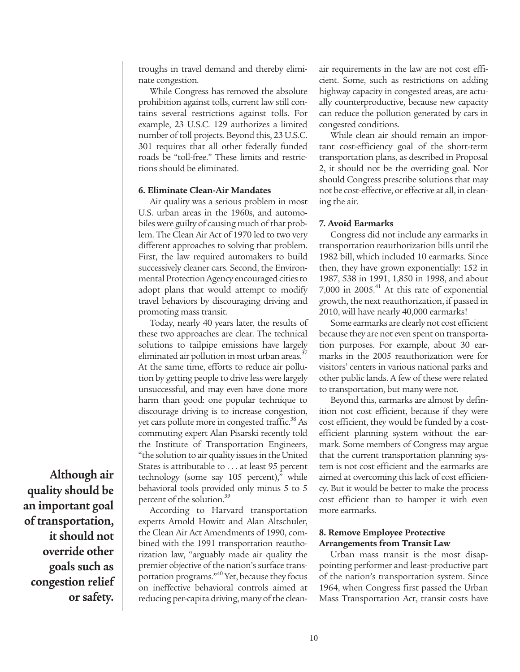troughs in travel demand and thereby eliminate congestion.

While Congress has removed the absolute prohibition against tolls, current law still contains several restrictions against tolls. For example, 23 U.S.C. 129 authorizes a limited number of toll projects. Beyond this, 23 U.S.C. 301 requires that all other federally funded roads be "toll-free." These limits and restrictions should be eliminated.

#### **6. Eliminate Clean-Air Mandates**

Air quality was a serious problem in most U.S. urban areas in the 1960s, and automobiles were guilty of causing much of that problem. The Clean Air Act of 1970 led to two very different approaches to solving that problem. First, the law required automakers to build successively cleaner cars. Second, the Environmental Protection Agency encouraged cities to adopt plans that would attempt to modify travel behaviors by discouraging driving and promoting mass transit.

Today, nearly 40 years later, the results of these two approaches are clear. The technical solutions to tailpipe emissions have largely eliminated air pollution in most urban areas.<sup>37</sup> At the same time, efforts to reduce air pollution by getting people to drive less were largely unsuccessful, and may even have done more harm than good: one popular technique to discourage driving is to increase congestion, yet cars pollute more in congested traffic.<sup>38</sup> As commuting expert Alan Pisarski recently told the Institute of Transportation Engineers, "the solution to air quality issues in the United States is attributable to . . . at least 95 percent technology (some say 105 percent)," while behavioral tools provided only minus 5 to 5 percent of the solution. 39

According to Harvard transportation experts Arnold Howitt and Alan Altschuler, the Clean Air Act Amendments of 1990, combined with the 1991 transportation reauthorization law, "arguably made air quality the premier objective of the nation's surface transportation programs." <sup>40</sup> Yet, because they focus on ineffective behavioral controls aimed at reducing per-capita driving, many of the cleanair requirements in the law are not cost efficient. Some, such as restrictions on adding highway capacity in congested areas, are actually counterproductive, because new capacity can reduce the pollution generated by cars in congested conditions.

While clean air should remain an important cost-efficiency goal of the short-term transportation plans, as described in Proposal 2, it should not be the overriding goal. Nor should Congress prescribe solutions that may not be cost-effective, or effective at all, in cleaning the air.

#### **7. Avoid Earmarks**

Congress did not include any earmarks in transportation reauthorization bills until the 1982 bill, which included 10 earmarks. Since then, they have grown exponentially: 152 in 1987, 538 in 1991, 1,850 in 1998, and about 7,000 in 2005. <sup>41</sup> At this rate of exponential growth, the next reauthorization, if passed in 2010, will have nearly 40,000 earmarks!

Some earmarks are clearly not cost efficient because they are not even spent on transportation purposes. For example, about 30 earmarks in the 2005 reauthorization were for visitors' centers in various national parks and other public lands. A few of these were related to transportation, but many were not.

Beyond this, earmarks are almost by definition not cost efficient, because if they were cost efficient, they would be funded by a costefficient planning system without the earmark. Some members of Congress may argue that the current transportation planning system is not cost efficient and the earmarks are aimed at overcoming thislack of cost efficiency. But it would be better to make the process cost efficient than to hamper it with even more earmarks.

#### **8. Remove Employee Protective Arrangements from Transit Law**

Urban mass transit is the most disappointing performer and least-productive part of the nation's transportation system. Since 1964, when Congress first passed the Urban Mass Transportation Act, transit costs have

**Although air quality should be an important goal of transportation, it should not override other goals such as congestion relief or safety.**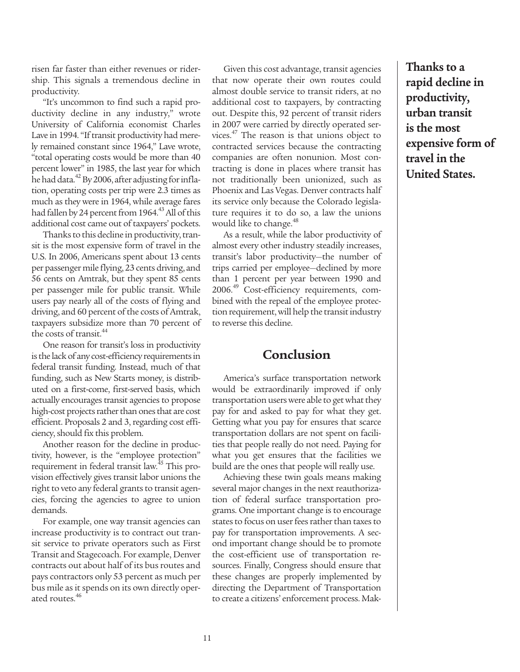risen far faster than either revenues or ridership. This signals a tremendous decline in productivity.

"It's uncommon to find such a rapid productivity decline in any industry," wrote University of California economist Charles Lave in 1994. "If transit productivity had merely remained constant since 1964," Lave wrote, "total operating costs would be more than 40 percent lower" in 1985, the last year for which he had data.<sup>42</sup> By 2006, after adjusting for inflation, operating costs per trip were 2.3 times as much as they were in 1964, while average fares had fallen by 24 percent from 1964.<sup>43</sup> All of this additional cost came out of taxpayers' pockets.

Thanks to this decline in productivity, transit is the most expensive form of travel in the U.S. In 2006, Americans spent about 13 cents per passenger mile flying, 23 cents driving, and 56 cents on Amtrak, but they spent 85 cents per passenger mile for public transit. While users pay nearly all of the costs of flying and driving, and 60 percent of the costs of Amtrak, taxpayers subsidize more than 70 percent of the costs of transit.<sup>44</sup>

One reason for transit's loss in productivity is the lack of any cost-efficiency requirements in federal transit funding. Instead, much of that funding, such as New Starts money, is distributed on a first-come, first-served basis, which actually encourages transit agencies to propose high-cost projects rather than ones that are cost efficient. Proposals 2 and 3, regarding cost efficiency,should fix this problem.

Another reason for the decline in productivity, however, is the "employee protection" requirement in federal transit law. <sup>45</sup> This provision effectively gives transit labor unions the right to veto any federal grants to transit agencies, forcing the agencies to agree to union demands.

For example, one way transit agencies can increase productivity is to contract out transit service to private operators such as First Transit and Stagecoach. For example, Denver contracts out about half of its bus routes and pays contractors only 53 percent as much per bus mile as it spends on its own directly operated routes. 46

Given this cost advantage, transit agencies that now operate their own routes could almost double service to transit riders, at no additional cost to taxpayers, by contracting out. Despite this, 92 percent of transit riders in 2007 were carried by directly operated services.<sup>47</sup> The reason is that unions object to contracted services because the contracting companies are often nonunion. Most contracting is done in places where transit has not traditionally been unionized, such as Phoenix and Las Vegas. Denver contracts half its service only because the Colorado legislature requires it to do so, a law the unions would like to change. 48

As a result, while the labor productivity of almost every other industry steadily increases, transit's labor productivity—the number of trips carried per employee—declined by more than 1 percent per year between 1990 and 2006. <sup>49</sup> Cost-efficiency requirements, combined with the repeal of the employee protection requirement, will help the transit industry to reverse this decline.

## **Conclusion**

America's surface transportation network would be extraordinarily improved if only transportation users were able to get what they pay for and asked to pay for what they get. Getting what you pay for ensures that scarce transportation dollars are not spent on facilities that people really do not need. Paying for what you get ensures that the facilities we build are the ones that people will really use.

Achieving these twin goals means making several major changes in the next reauthorization of federal surface transportation programs. One important change is to encourage states to focus on user fees rather than taxes to pay for transportation improvements. A second important change should be to promote the cost-efficient use of transportation resources. Finally, Congress should ensure that these changes are properly implemented by directing the Department of Transportation to create a citizens' enforcement process. Mak**Thanks to a rapid decline in productivity, urban transit is the most expensive form of travel in the United States.**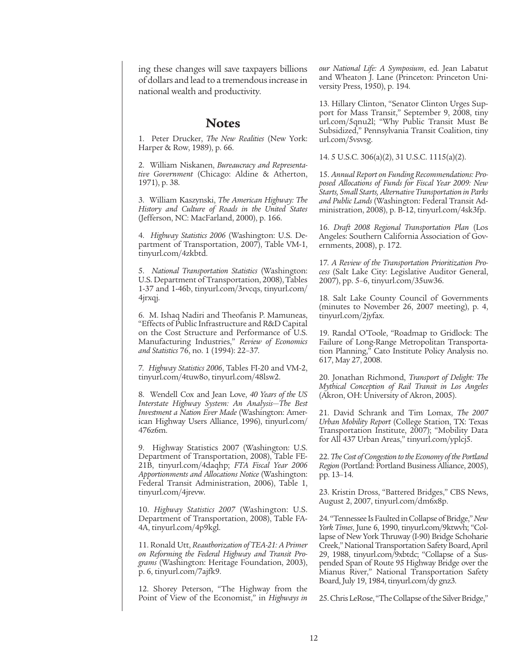ing these changes will save taxpayers billions of dollars and lead to a tremendousincrease in national wealth and productivity.

#### **Notes**

1. Peter Drucker, *The New Realities* (New York: Harper & Row, 1989), p. 66.

2. William Niskanen, *Bureaucracy and Representative Government* (Chicago: Aldine & Atherton, 1971), p. 38.

3. William Kaszynski, *The American Highway: The History and Culture of Roads in the United States* (Jefferson, NC: MacFarland, 2000), p. 166.

4. *Highway Statistics 2006* (Washington: U.S. Department of Transportation, 2007), Table VM-1, tinyurl.com/4zkbtd.

5. *National Transportation Statistics* (Washington: U.S. Department of Transportation, 2008), Tables 1-37 and 1-46b, tinyurl.com/3rvcqs, tinyurl.com/ 4jrxqj.

6. M. Ishaq Nadiri and Theofanis P. Mamuneas, "Effects of Public Infrastructure andR&D Capital on the Cost Structure and Performance of U.S. Manufacturing Industries," *Review of Economics and Statistics* 76, no. 1 (1994): 22–37.

7. *Highway Statistics 2006*, Tables FI-20 and VM-2, tinyurl.com/4tuw8o, tinyurl.com/48lsw2.

8. Wendell Cox and Jean Love, *40 Years of the US Interstate Highway System: An Analysis—The Best Investment a Nation Ever Made* (Washington: American Highway Users Alliance, 1996), tinyurl.com/ 476z6m.

9. Highway Statistics 2007 (Washington: U.S. Department of Transportation, 2008), Table FE-21B, tinyurl.com/4daqhp; *FTA Fiscal Year 2006 Apportionments and Allocations Notice* (Washington: Federal Transit Administration, 2006), Table 1, tinyurl.com/4jrevw.

10. *Highway Statistics 2007* (Washington: U.S. Department of Transportation, 2008), Table FA-4A, tinyurl.com/4p9kgl.

11. Ronald Utt, *Reauthorization of TEA-21: A Primer on Reforming the Federal Highway and Transit Programs* (Washington: Heritage Foundation, 2003), p. 6, tinyurl.com/7ajfk9.

12. Shorey Peterson, "The Highway from the Point of View of the Economist," in *Highways in* *our National Life: A Symposium*, ed. Jean Labatut and Wheaton J. Lane (Princeton: Princeton University Press, 1950), p. 194.

13. Hillary Clinton, "Senator Clinton Urges Support for Mass Transit," September 9, 2008, tiny url.com/5qnu2l; "Why Public Transit Must Be Subsidized," Pennsylvania Transit Coalition, tiny url.com/5vsvsg.

14. 5 U.S.C. 306(a)(2), 31 U.S.C. 1115(a)(2).

15. *Annual Report on Funding Recommendations: Proposed Allocations of Funds for Fiscal Year 2009: New Starts, Small Starts,Alternative Transportation in Parks and Public Lands* (Washington: Federal Transit Administration, 2008), p. B-12, tinyurl.com/4sk3fp.

16. *Draft 2008 Regional Transportation Plan* (Los Angeles: Southern California Association of Governments, 2008), p. 172.

17. *A Review of the Transportation Prioritization Process* (Salt Lake City: Legislative Auditor General, 2007), pp. 5–6, tinyurl.com/35uw36.

18. Salt Lake County Council of Governments (minutes to November 26, 2007 meeting), p. 4, tinyurl.com/2jyfax.

19. Randal O'Toole, "Roadmap to Gridlock: The Failure of Long-Range Metropolitan Transportation Planning," Cato Institute Policy Analysis no. 617, May 27, 2008.

20. Jonathan Richmond, *Transport of Delight: The Mythical Conception of Rail Transit in Los Angeles* (Akron, OH: University of Akron, 2005).

21. David Schrank and Tim Lomax, *The 2007 Urban Mobility Report* (College Station, TX: Texas Transportation Institute, 2007); "Mobility Data for All 437 Urban Areas," tinyurl.com/yplcj5.

22. *The Cost of Congestion to the Economy of the Portland Region* (Portland: Portland Business Alliance, 2005), pp. 13–14.

23. Kristin Dross, "Battered Bridges," CBS News, August 2, 2007, tinyurl.com/dm6x8p.

24. "Tennessee IsFaultedinCollapseofBridge,"*New York Times*, June 6, 1990, tinyurl.com/9ktwvh; "Collapse of New York Thruway (I-90) Bridge Schoharie Creek," National Transportation Safety Board, April 29, 1988, tinyurl.com/9xbtdc; "Collapse of a Suspended Span of Route 95 Highway Bridge over the Mianus River," National Transportation Safety Board, July 19, 1984, tinyurl.com/dy gnz3.

25. Chris LeRose, "The Collapse of the Silver Bridge,"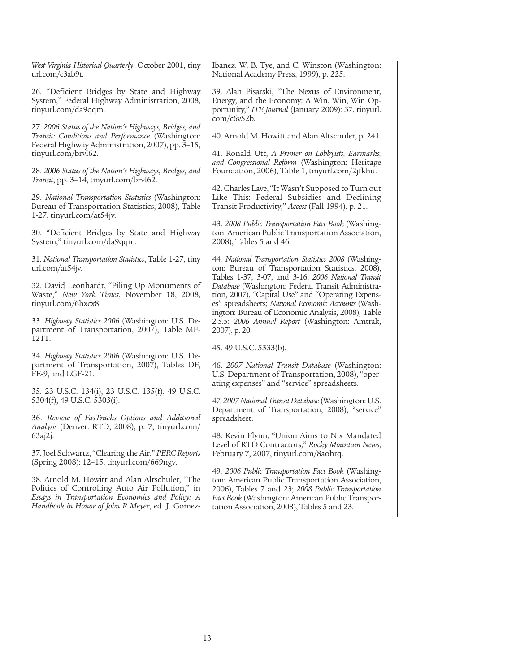*West Virginia Historical Quarterly*, October 2001, tiny url.com/c3ab9t.

26. "Deficient Bridges by State and Highway System," Federal Highway Administration, 2008, tinyurl.com/da9qqm.

27. *2006 Status of the Nation's Highways, Bridges, and Transit: Conditions and Performance* (Washington: Federal Highway Administration, 2007), pp. 3–15, tinyurl.com/brvl62.

28. *2006 Status of the Nation's Highways, Bridges, and Transit*, pp. 3–14, tinyurl.com/brvl62.

29. *National Transportation Statistics* (Washington: Bureau of Transportation Statistics, 2008), Table 1-27, tinyurl.com/at54jv.

30. "Deficient Bridges by State and Highway System," tinyurl.com/da9qqm.

31. *National Transportation Statistics*, Table 1-27, tiny url.com/at54jv.

32. David Leonhardt, "Piling Up Monuments of Waste," *New York Times*, November 18, 2008, tinyurl.com/6hxcx8.

33. *Highway Statistics 2006* (Washington: U.S. Department of Transportation, 2007), Table MF-121T.

34. *Highway Statistics 2006* (Washington: U.S. Department of Transportation, 2007), Tables DF, FE-9, and LGF-21.

35. 23 U.S.C. 134(i), 23 U.S.C. 135(f), 49 U.S.C. 5304(f), 49 U.S.C. 5303(i).

36. *Review of FasTracks Options and Additional Analysis* (Denver: RTD, 2008), p. 7, tinyurl.com/ 63aj2j.

37. Joel Schwartz, "Clearing the Air," *PERC Reports* (Spring 2008): 12–15, tinyurl.com/669ngv.

38. Arnold M. Howitt and Alan Altschuler, "The Politics of Controlling Auto Air Pollution," in *Essays in Transportation Economics and Policy: A Handbook in Honor of John R Meyer*, ed. J. GomezIbanez, W. B. Tye, and C. Winston (Washington: National Academy Press, 1999), p. 225.

39. Alan Pisarski, "The Nexus of Environment, Energy, and the Economy: A Win, Win, Win Opportunity," *ITE Journal* (January 2009): 37, tinyurl. com/c6v52b.

40. Arnold M. Howitt and Alan Altschuler, p. 241.

41. Ronald Utt, *A Primer on Lobbyists, Earmarks, and Congressional Reform* (Washington: Heritage Foundation, 2006), Table 1, tinyurl.com/2jfkhu.

42.Charles Lave, "It Wasn't Supposed to Turn out Like This: Federal Subsidies and Declining Transit Productivity," *Access* (Fall 1994), p. 21.

43. *2008 Public Transportation Fact Book* (Washington: American Public Transportation Association, 2008), Tables 5 and 46.

44. *National Transportation Statistics 2008* (Washington: Bureau of Transportation Statistics, 2008), Tables 1-37, 3-07, and 3-16; *2006 National Transit Database* (Washington: Federal Transit Administration, 2007), "Capital Use" and "Operating Expenses" spreadsheets; *National Economic Accounts* (Washington: Bureau of Economic Analysis, 2008), Table 2.5.5; *2006 Annual Report* (Washington: Amtrak, 2007), p. 20.

45. 49 U.S.C. 5333(b).

46. *2007 National Transit Database* (Washington: U.S. Department of Transportation, 2008), "operating expenses" and "service" spreadsheets.

47. *2007NationalTransit Database*(Washington: U.S. Department of Transportation, 2008), "service" spreadsheet.

48. Kevin Flynn, "Union Aims to Nix Mandated Level of RTD Contractors," *Rocky Mountain News*, February 7, 2007, tinyurl.com/8aohrq.

49. *2006 Public Transportation Fact Book* (Washington: American Public Transportation Association, 2006), Tables 7 and 23; *2008 Public Transportation Fact Book* (Washington: American Public Transportation Association, 2008), Tables 5 and 23.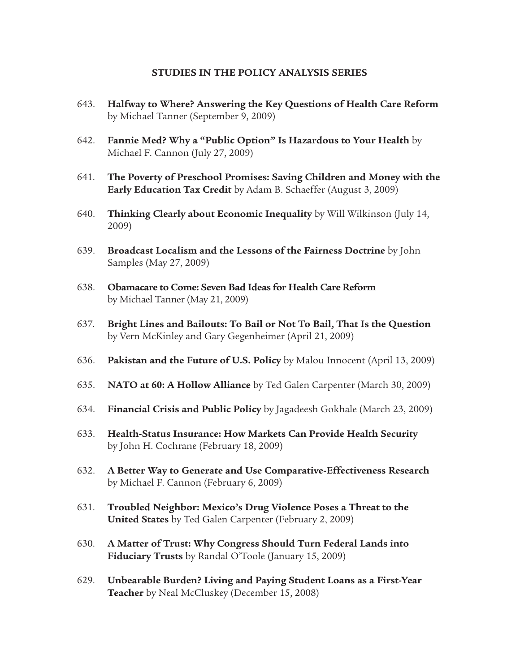#### **STUDIES IN THE POLICY ANALYSIS SERIES**

- 643. **Halfway to Where? Answering the Key Questions of Health Care Reform** by Michael Tanner (September 9, 2009)
- 642. **Fannie Med? Why a "Public Option" Is Hazardous to Your Health** by Michael F. Cannon (July 27, 2009)
- 641. **The Poverty of Preschool Promises: Saving Children and Money with the Early Education Tax Credit** by Adam B. Schaeffer (August 3, 2009)
- 640. **Thinking Clearly about Economic Inequality** by Will Wilkinson (July 14, 2009)
- 639. **Broadcast Localism and the Lessons of the Fairness Doctrine** by John Samples (May 27, 2009)
- 638. **Obamacare to Come: Seven Bad Ideas for Health Care Reform** by Michael Tanner (May 21, 2009)
- 637. **Bright Lines and Bailouts: To Bail or Not To Bail, That Is the Question** by Vern McKinley and Gary Gegenheimer (April 21, 2009)
- 636. **Pakistan and the Future of U.S. Policy** by Malou Innocent (April 13, 2009)
- 635. **NATO at 60: A Hollow Alliance** by Ted Galen Carpenter (March 30, 2009)
- 634. **Financial Crisis and Public Policy** by Jagadeesh Gokhale (March 23, 2009)
- 633. **Health-Status Insurance: How Markets Can Provide Health Security** by John H. Cochrane (February 18, 2009)
- 632. **A Better Way to Generate and Use Comparative-Effectiveness Research** by Michael F. Cannon (February 6, 2009)
- 631. **Troubled Neighbor: Mexico's Drug Violence Poses a Threat to the United States** by Ted Galen Carpenter (February 2, 2009)
- 630. **A Matter of Trust: Why Congress Should Turn Federal Lands into Fiduciary Trusts** by Randal O'Toole (January 15, 2009)
- 629. **Unbearable Burden? Living and Paying Student Loans as a First-Year Teacher** by Neal McCluskey (December 15, 2008)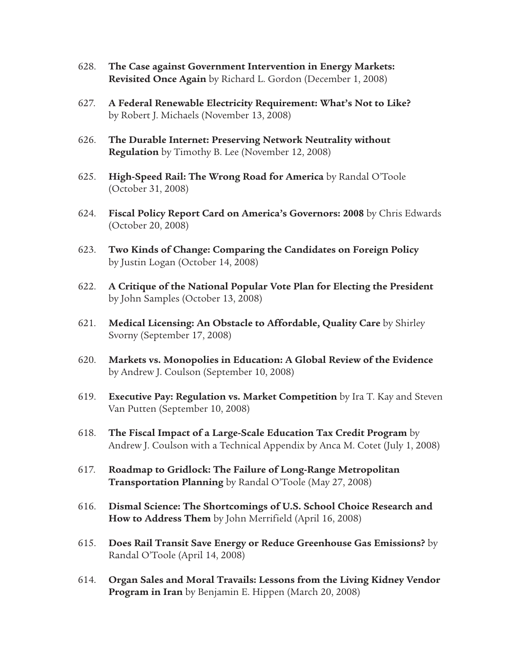- 628. **The Case against Government Intervention in Energy Markets: Revisited Once Again** by Richard L. Gordon (December 1, 2008)
- 627. **A Federal Renewable Electricity Requirement: What's Not to Like?** by Robert J. Michaels (November 13, 2008)
- 626. **The Durable Internet: Preserving Network Neutrality without Regulation** by Timothy B. Lee (November 12, 2008)
- 625. **High-Speed Rail: The Wrong Road for America** by Randal O'Toole (October 31, 2008)
- 624. **Fiscal Policy Report Card on America's Governors: 2008** by Chris Edwards (October 20, 2008)
- 623. **Two Kinds of Change: Comparing the Candidates on Foreign Policy** by Justin Logan (October 14, 2008)
- 622. **A Critique of the National Popular Vote Plan for Electing the President** by John Samples (October 13, 2008)
- 621. **Medical Licensing: An Obstacle to Affordable, Quality Care** by Shirley Svorny (September 17, 2008)
- 620. **Markets vs. Monopolies in Education: A Global Review of the Evidence** by Andrew J. Coulson (September 10, 2008)
- 619. **Executive Pay: Regulation vs. Market Competition** by Ira T. Kay and Steven Van Putten (September 10, 2008)
- 618. **The Fiscal Impact of a Large-Scale Education Tax Credit Program** by Andrew J. Coulson with a Technical Appendix by Anca M. Cotet (July 1, 2008)
- 617. **Roadmap to Gridlock: The Failure of Long-Range Metropolitan Transportation Planning** by Randal O'Toole (May 27, 2008)
- 616. **Dismal Science: The Shortcomings of U.S. School Choice Research and How to Address Them** by John Merrifield (April 16, 2008)
- 615. **Does Rail Transit Save Energy or Reduce Greenhouse Gas Emissions?** by Randal O'Toole (April 14, 2008)
- 614. **Organ Sales and Moral Travails: Lessons from the Living Kidney Vendor Program in Iran** by Benjamin E. Hippen (March 20, 2008)